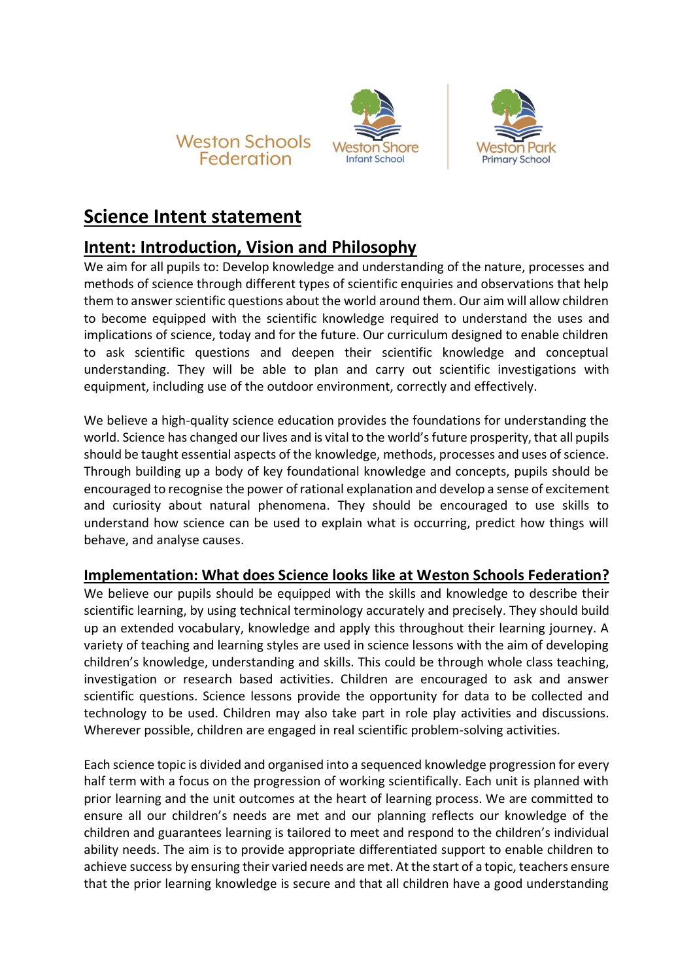





## **Science Intent statement**

## **Intent: Introduction, Vision and Philosophy**

We aim for all pupils to: Develop knowledge and understanding of the nature, processes and methods of science through different types of scientific enquiries and observations that help them to answer scientific questions about the world around them. Our aim will allow children to become equipped with the scientific knowledge required to understand the uses and implications of science, today and for the future. Our curriculum designed to enable children to ask scientific questions and deepen their scientific knowledge and conceptual understanding. They will be able to plan and carry out scientific investigations with equipment, including use of the outdoor environment, correctly and effectively.

We believe a high-quality science education provides the foundations for understanding the world. Science has changed our lives and is vital to the world's future prosperity, that all pupils should be taught essential aspects of the knowledge, methods, processes and uses of science. Through building up a body of key foundational knowledge and concepts, pupils should be encouraged to recognise the power of rational explanation and develop a sense of excitement and curiosity about natural phenomena. They should be encouraged to use skills to understand how science can be used to explain what is occurring, predict how things will behave, and analyse causes.

## **Implementation: What does Science looks like at Weston Schools Federation?**

We believe our pupils should be equipped with the skills and knowledge to describe their scientific learning, by using technical terminology accurately and precisely. They should build up an extended vocabulary, knowledge and apply this throughout their learning journey. A variety of teaching and learning styles are used in science lessons with the aim of developing children's knowledge, understanding and skills. This could be through whole class teaching, investigation or research based activities. Children are encouraged to ask and answer scientific questions. Science lessons provide the opportunity for data to be collected and technology to be used. Children may also take part in role play activities and discussions. Wherever possible, children are engaged in real scientific problem-solving activities.

Each science topic is divided and organised into a sequenced knowledge progression for every half term with a focus on the progression of working scientifically. Each unit is planned with prior learning and the unit outcomes at the heart of learning process. We are committed to ensure all our children's needs are met and our planning reflects our knowledge of the children and guarantees learning is tailored to meet and respond to the children's individual ability needs. The aim is to provide appropriate differentiated support to enable children to achieve success by ensuring their varied needs are met. At the start of a topic, teachers ensure that the prior learning knowledge is secure and that all children have a good understanding